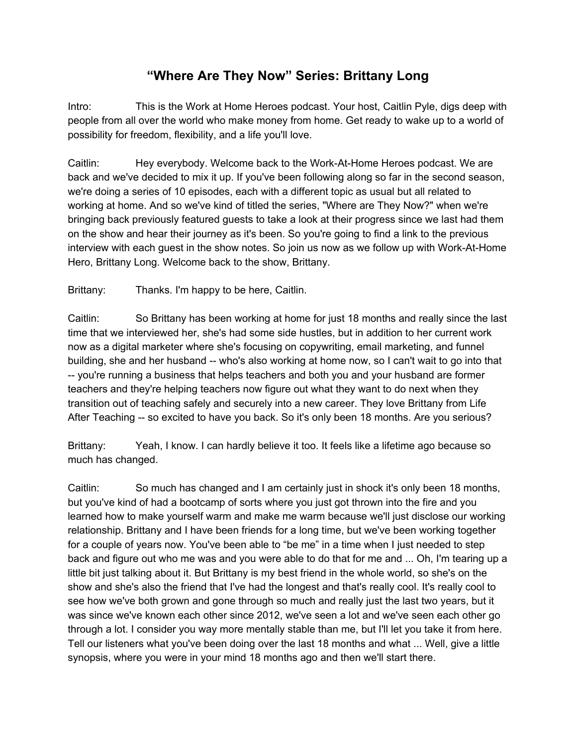## **"Where Are They Now" Series: Brittany Long**

Intro: This is the Work at Home Heroes podcast. Your host, Caitlin Pyle, digs deep with people from all over the world who make money from home. Get ready to wake up to a world of possibility for freedom, flexibility, and a life you'll love.

Caitlin: Hey everybody. Welcome back to the Work-At-Home Heroes podcast. We are back and we've decided to mix it up. If you've been following along so far in the second season, we're doing a series of 10 episodes, each with a different topic as usual but all related to working at home. And so we've kind of titled the series, "Where are They Now?" when we're bringing back previously featured guests to take a look at their progress since we last had them on the show and hear their journey as it's been. So you're going to find a link to the previous interview with each guest in the show notes. So join us now as we follow up with Work-At-Home Hero, Brittany Long. Welcome back to the show, Brittany.

Brittany: Thanks. I'm happy to be here, Caitlin.

Caitlin: So Brittany has been working at home for just 18 months and really since the last time that we interviewed her, she's had some side hustles, but in addition to her current work now as a digital marketer where she's focusing on copywriting, email marketing, and funnel building, she and her husband -- who's also working at home now, so I can't wait to go into that -- you're running a business that helps teachers and both you and your husband are former teachers and they're helping teachers now figure out what they want to do next when they transition out of teaching safely and securely into a new career. They love Brittany from Life After Teaching -- so excited to have you back. So it's only been 18 months. Are you serious?

Brittany: Yeah, I know. I can hardly believe it too. It feels like a lifetime ago because so much has changed.

Caitlin: So much has changed and I am certainly just in shock it's only been 18 months, but you've kind of had a bootcamp of sorts where you just got thrown into the fire and you learned how to make yourself warm and make me warm because we'll just disclose our working relationship. Brittany and I have been friends for a long time, but we've been working together for a couple of years now. You've been able to "be me" in a time when I just needed to step back and figure out who me was and you were able to do that for me and ... Oh, I'm tearing up a little bit just talking about it. But Brittany is my best friend in the whole world, so she's on the show and she's also the friend that I've had the longest and that's really cool. It's really cool to see how we've both grown and gone through so much and really just the last two years, but it was since we've known each other since 2012, we've seen a lot and we've seen each other go through a lot. I consider you way more mentally stable than me, but I'll let you take it from here. Tell our listeners what you've been doing over the last 18 months and what ... Well, give a little synopsis, where you were in your mind 18 months ago and then we'll start there.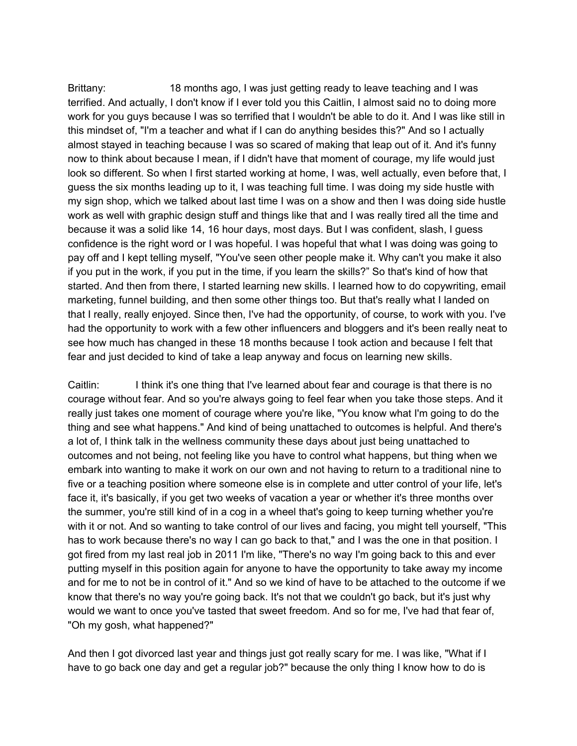Brittany: 18 months ago, I was just getting ready to leave teaching and I was terrified. And actually, I don't know if I ever told you this Caitlin, I almost said no to doing more work for you guys because I was so terrified that I wouldn't be able to do it. And I was like still in this mindset of, "I'm a teacher and what if I can do anything besides this?" And so I actually almost stayed in teaching because I was so scared of making that leap out of it. And it's funny now to think about because I mean, if I didn't have that moment of courage, my life would just look so different. So when I first started working at home, I was, well actually, even before that, I guess the six months leading up to it, I was teaching full time. I was doing my side hustle with my sign shop, which we talked about last time I was on a show and then I was doing side hustle work as well with graphic design stuff and things like that and I was really tired all the time and because it was a solid like 14, 16 hour days, most days. But I was confident, slash, I guess confidence is the right word or I was hopeful. I was hopeful that what I was doing was going to pay off and I kept telling myself, "You've seen other people make it. Why can't you make it also if you put in the work, if you put in the time, if you learn the skills?" So that's kind of how that started. And then from there, I started learning new skills. I learned how to do copywriting, email marketing, funnel building, and then some other things too. But that's really what I landed on that I really, really enjoyed. Since then, I've had the opportunity, of course, to work with you. I've had the opportunity to work with a few other influencers and bloggers and it's been really neat to see how much has changed in these 18 months because I took action and because I felt that fear and just decided to kind of take a leap anyway and focus on learning new skills.

Caitlin: I think it's one thing that I've learned about fear and courage is that there is no courage without fear. And so you're always going to feel fear when you take those steps. And it really just takes one moment of courage where you're like, "You know what I'm going to do the thing and see what happens." And kind of being unattached to outcomes is helpful. And there's a lot of, I think talk in the wellness community these days about just being unattached to outcomes and not being, not feeling like you have to control what happens, but thing when we embark into wanting to make it work on our own and not having to return to a traditional nine to five or a teaching position where someone else is in complete and utter control of your life, let's face it, it's basically, if you get two weeks of vacation a year or whether it's three months over the summer, you're still kind of in a cog in a wheel that's going to keep turning whether you're with it or not. And so wanting to take control of our lives and facing, you might tell yourself, "This has to work because there's no way I can go back to that," and I was the one in that position. I got fired from my last real job in 2011 I'm like, "There's no way I'm going back to this and ever putting myself in this position again for anyone to have the opportunity to take away my income and for me to not be in control of it." And so we kind of have to be attached to the outcome if we know that there's no way you're going back. It's not that we couldn't go back, but it's just why would we want to once you've tasted that sweet freedom. And so for me, I've had that fear of, "Oh my gosh, what happened?"

And then I got divorced last year and things just got really scary for me. I was like, "What if I have to go back one day and get a regular job?" because the only thing I know how to do is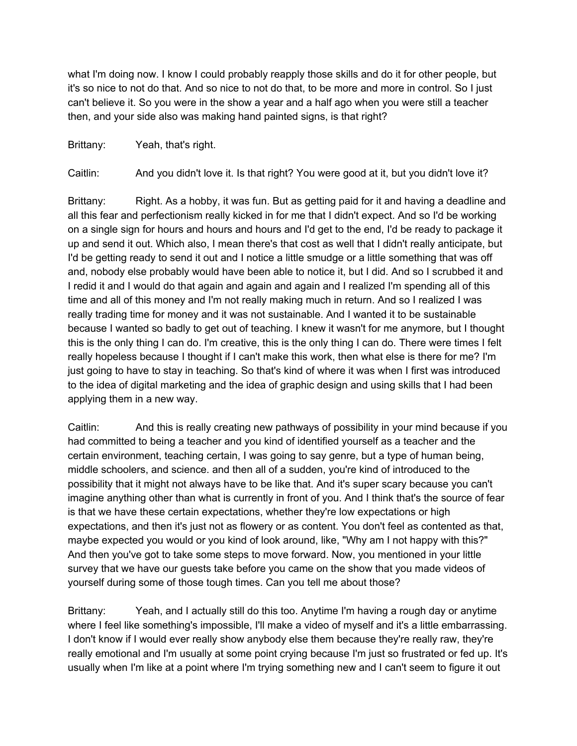what I'm doing now. I know I could probably reapply those skills and do it for other people, but it's so nice to not do that. And so nice to not do that, to be more and more in control. So I just can't believe it. So you were in the show a year and a half ago when you were still a teacher then, and your side also was making hand painted signs, is that right?

Brittany: Yeah, that's right.

Caitlin: And you didn't love it. Is that right? You were good at it, but you didn't love it?

Brittany: Right. As a hobby, it was fun. But as getting paid for it and having a deadline and all this fear and perfectionism really kicked in for me that I didn't expect. And so I'd be working on a single sign for hours and hours and hours and I'd get to the end, I'd be ready to package it up and send it out. Which also, I mean there's that cost as well that I didn't really anticipate, but I'd be getting ready to send it out and I notice a little smudge or a little something that was off and, nobody else probably would have been able to notice it, but I did. And so I scrubbed it and I redid it and I would do that again and again and again and I realized I'm spending all of this time and all of this money and I'm not really making much in return. And so I realized I was really trading time for money and it was not sustainable. And I wanted it to be sustainable because I wanted so badly to get out of teaching. I knew it wasn't for me anymore, but I thought this is the only thing I can do. I'm creative, this is the only thing I can do. There were times I felt really hopeless because I thought if I can't make this work, then what else is there for me? I'm just going to have to stay in teaching. So that's kind of where it was when I first was introduced to the idea of digital marketing and the idea of graphic design and using skills that I had been applying them in a new way.

Caitlin: And this is really creating new pathways of possibility in your mind because if you had committed to being a teacher and you kind of identified yourself as a teacher and the certain environment, teaching certain, I was going to say genre, but a type of human being, middle schoolers, and science. and then all of a sudden, you're kind of introduced to the possibility that it might not always have to be like that. And it's super scary because you can't imagine anything other than what is currently in front of you. And I think that's the source of fear is that we have these certain expectations, whether they're low expectations or high expectations, and then it's just not as flowery or as content. You don't feel as contented as that, maybe expected you would or you kind of look around, like, "Why am I not happy with this?" And then you've got to take some steps to move forward. Now, you mentioned in your little survey that we have our guests take before you came on the show that you made videos of yourself during some of those tough times. Can you tell me about those?

Brittany: Yeah, and I actually still do this too. Anytime I'm having a rough day or anytime where I feel like something's impossible, I'll make a video of myself and it's a little embarrassing. I don't know if I would ever really show anybody else them because they're really raw, they're really emotional and I'm usually at some point crying because I'm just so frustrated or fed up. It's usually when I'm like at a point where I'm trying something new and I can't seem to figure it out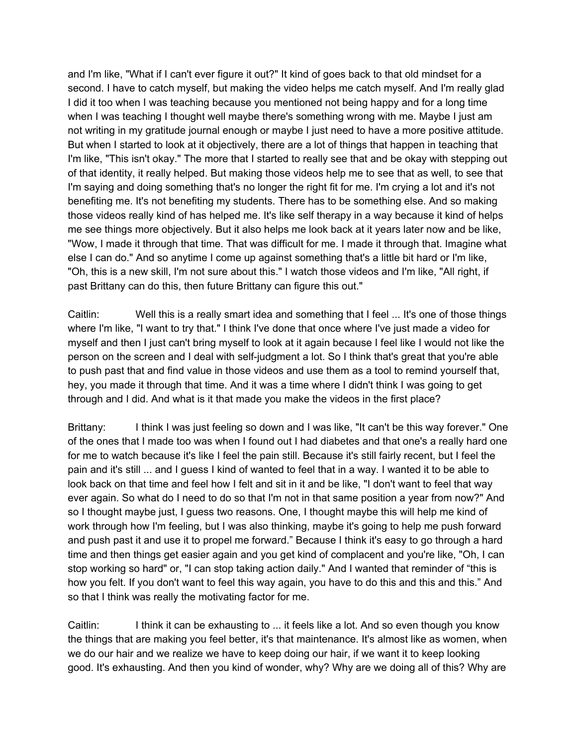and I'm like, "What if I can't ever figure it out?" It kind of goes back to that old mindset for a second. I have to catch myself, but making the video helps me catch myself. And I'm really glad I did it too when I was teaching because you mentioned not being happy and for a long time when I was teaching I thought well maybe there's something wrong with me. Maybe I just am not writing in my gratitude journal enough or maybe I just need to have a more positive attitude. But when I started to look at it objectively, there are a lot of things that happen in teaching that I'm like, "This isn't okay." The more that I started to really see that and be okay with stepping out of that identity, it really helped. But making those videos help me to see that as well, to see that I'm saying and doing something that's no longer the right fit for me. I'm crying a lot and it's not benefiting me. It's not benefiting my students. There has to be something else. And so making those videos really kind of has helped me. It's like self therapy in a way because it kind of helps me see things more objectively. But it also helps me look back at it years later now and be like, "Wow, I made it through that time. That was difficult for me. I made it through that. Imagine what else I can do." And so anytime I come up against something that's a little bit hard or I'm like, "Oh, this is a new skill, I'm not sure about this." I watch those videos and I'm like, "All right, if past Brittany can do this, then future Brittany can figure this out."

Caitlin: Well this is a really smart idea and something that I feel ... It's one of those things where I'm like, "I want to try that." I think I've done that once where I've just made a video for myself and then I just can't bring myself to look at it again because I feel like I would not like the person on the screen and I deal with self-judgment a lot. So I think that's great that you're able to push past that and find value in those videos and use them as a tool to remind yourself that, hey, you made it through that time. And it was a time where I didn't think I was going to get through and I did. And what is it that made you make the videos in the first place?

Brittany: I think I was just feeling so down and I was like, "It can't be this way forever." One of the ones that I made too was when I found out I had diabetes and that one's a really hard one for me to watch because it's like I feel the pain still. Because it's still fairly recent, but I feel the pain and it's still ... and I guess I kind of wanted to feel that in a way. I wanted it to be able to look back on that time and feel how I felt and sit in it and be like, "I don't want to feel that way ever again. So what do I need to do so that I'm not in that same position a year from now?" And so I thought maybe just, I guess two reasons. One, I thought maybe this will help me kind of work through how I'm feeling, but I was also thinking, maybe it's going to help me push forward and push past it and use it to propel me forward." Because I think it's easy to go through a hard time and then things get easier again and you get kind of complacent and you're like, "Oh, I can stop working so hard" or, "I can stop taking action daily." And I wanted that reminder of "this is how you felt. If you don't want to feel this way again, you have to do this and this and this." And so that I think was really the motivating factor for me.

Caitlin: I think it can be exhausting to ... it feels like a lot. And so even though you know the things that are making you feel better, it's that maintenance. It's almost like as women, when we do our hair and we realize we have to keep doing our hair, if we want it to keep looking good. It's exhausting. And then you kind of wonder, why? Why are we doing all of this? Why are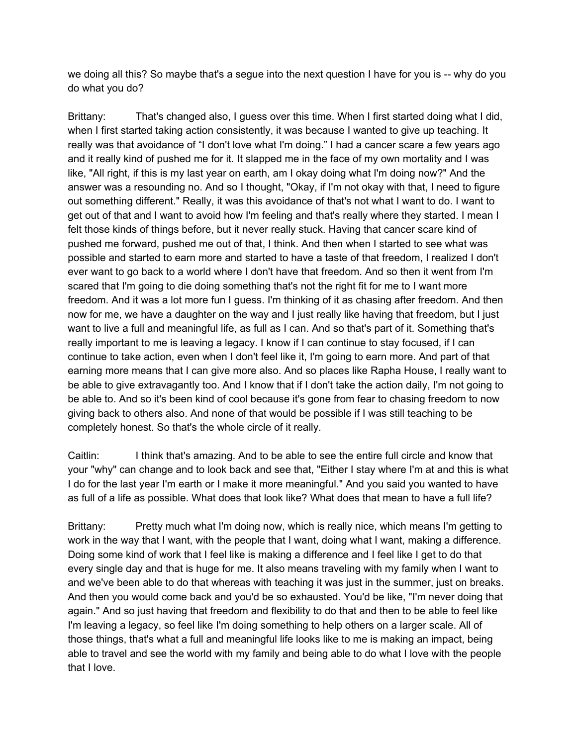we doing all this? So maybe that's a segue into the next question I have for you is -- why do you do what you do?

Brittany: That's changed also, I guess over this time. When I first started doing what I did, when I first started taking action consistently, it was because I wanted to give up teaching. It really was that avoidance of "I don't love what I'm doing." I had a cancer scare a few years ago and it really kind of pushed me for it. It slapped me in the face of my own mortality and I was like, "All right, if this is my last year on earth, am I okay doing what I'm doing now?" And the answer was a resounding no. And so I thought, "Okay, if I'm not okay with that, I need to figure out something different." Really, it was this avoidance of that's not what I want to do. I want to get out of that and I want to avoid how I'm feeling and that's really where they started. I mean I felt those kinds of things before, but it never really stuck. Having that cancer scare kind of pushed me forward, pushed me out of that, I think. And then when I started to see what was possible and started to earn more and started to have a taste of that freedom, I realized I don't ever want to go back to a world where I don't have that freedom. And so then it went from I'm scared that I'm going to die doing something that's not the right fit for me to I want more freedom. And it was a lot more fun I guess. I'm thinking of it as chasing after freedom. And then now for me, we have a daughter on the way and I just really like having that freedom, but I just want to live a full and meaningful life, as full as I can. And so that's part of it. Something that's really important to me is leaving a legacy. I know if I can continue to stay focused, if I can continue to take action, even when I don't feel like it, I'm going to earn more. And part of that earning more means that I can give more also. And so places like Rapha House, I really want to be able to give extravagantly too. And I know that if I don't take the action daily, I'm not going to be able to. And so it's been kind of cool because it's gone from fear to chasing freedom to now giving back to others also. And none of that would be possible if I was still teaching to be completely honest. So that's the whole circle of it really.

Caitlin: I think that's amazing. And to be able to see the entire full circle and know that your "why" can change and to look back and see that, "Either I stay where I'm at and this is what I do for the last year I'm earth or I make it more meaningful." And you said you wanted to have as full of a life as possible. What does that look like? What does that mean to have a full life?

Brittany: Pretty much what I'm doing now, which is really nice, which means I'm getting to work in the way that I want, with the people that I want, doing what I want, making a difference. Doing some kind of work that I feel like is making a difference and I feel like I get to do that every single day and that is huge for me. It also means traveling with my family when I want to and we've been able to do that whereas with teaching it was just in the summer, just on breaks. And then you would come back and you'd be so exhausted. You'd be like, "I'm never doing that again." And so just having that freedom and flexibility to do that and then to be able to feel like I'm leaving a legacy, so feel like I'm doing something to help others on a larger scale. All of those things, that's what a full and meaningful life looks like to me is making an impact, being able to travel and see the world with my family and being able to do what I love with the people that I love.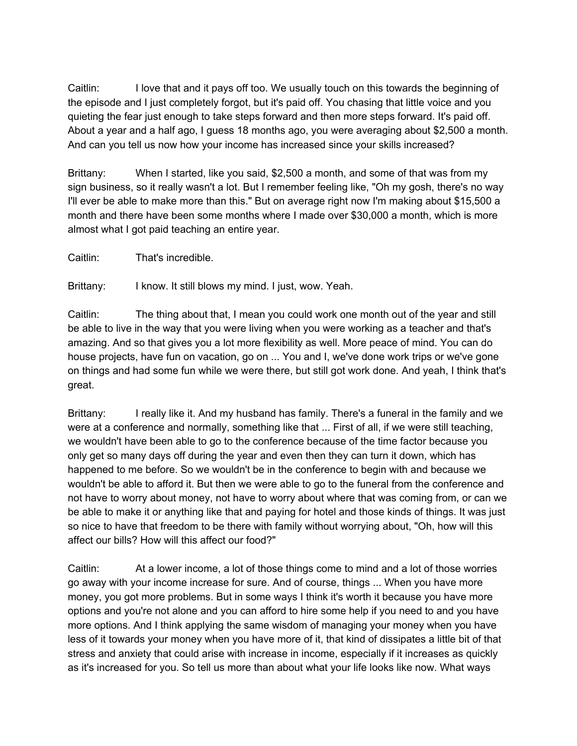Caitlin: I love that and it pays off too. We usually touch on this towards the beginning of the episode and I just completely forgot, but it's paid off. You chasing that little voice and you quieting the fear just enough to take steps forward and then more steps forward. It's paid off. About a year and a half ago, I guess 18 months ago, you were averaging about \$2,500 a month. And can you tell us now how your income has increased since your skills increased?

Brittany: When I started, like you said, \$2,500 a month, and some of that was from my sign business, so it really wasn't a lot. But I remember feeling like, "Oh my gosh, there's no way I'll ever be able to make more than this." But on average right now I'm making about \$15,500 a month and there have been some months where I made over \$30,000 a month, which is more almost what I got paid teaching an entire year.

Caitlin: That's incredible.

Brittany: I know. It still blows my mind. I just, wow. Yeah.

Caitlin: The thing about that, I mean you could work one month out of the year and still be able to live in the way that you were living when you were working as a teacher and that's amazing. And so that gives you a lot more flexibility as well. More peace of mind. You can do house projects, have fun on vacation, go on ... You and I, we've done work trips or we've gone on things and had some fun while we were there, but still got work done. And yeah, I think that's great.

Brittany: I really like it. And my husband has family. There's a funeral in the family and we were at a conference and normally, something like that ... First of all, if we were still teaching, we wouldn't have been able to go to the conference because of the time factor because you only get so many days off during the year and even then they can turn it down, which has happened to me before. So we wouldn't be in the conference to begin with and because we wouldn't be able to afford it. But then we were able to go to the funeral from the conference and not have to worry about money, not have to worry about where that was coming from, or can we be able to make it or anything like that and paying for hotel and those kinds of things. It was just so nice to have that freedom to be there with family without worrying about, "Oh, how will this affect our bills? How will this affect our food?"

Caitlin: At a lower income, a lot of those things come to mind and a lot of those worries go away with your income increase for sure. And of course, things ... When you have more money, you got more problems. But in some ways I think it's worth it because you have more options and you're not alone and you can afford to hire some help if you need to and you have more options. And I think applying the same wisdom of managing your money when you have less of it towards your money when you have more of it, that kind of dissipates a little bit of that stress and anxiety that could arise with increase in income, especially if it increases as quickly as it's increased for you. So tell us more than about what your life looks like now. What ways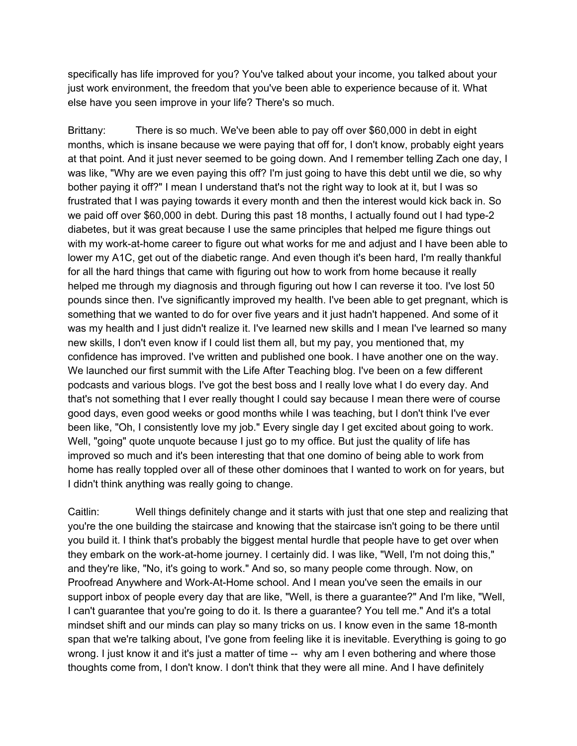specifically has life improved for you? You've talked about your income, you talked about your just work environment, the freedom that you've been able to experience because of it. What else have you seen improve in your life? There's so much.

Brittany: There is so much. We've been able to pay off over \$60,000 in debt in eight months, which is insane because we were paying that off for, I don't know, probably eight years at that point. And it just never seemed to be going down. And I remember telling Zach one day, I was like, "Why are we even paying this off? I'm just going to have this debt until we die, so why bother paying it off?" I mean I understand that's not the right way to look at it, but I was so frustrated that I was paying towards it every month and then the interest would kick back in. So we paid off over \$60,000 in debt. During this past 18 months, I actually found out I had type-2 diabetes, but it was great because I use the same principles that helped me figure things out with my work-at-home career to figure out what works for me and adjust and I have been able to lower my A1C, get out of the diabetic range. And even though it's been hard, I'm really thankful for all the hard things that came with figuring out how to work from home because it really helped me through my diagnosis and through figuring out how I can reverse it too. I've lost 50 pounds since then. I've significantly improved my health. I've been able to get pregnant, which is something that we wanted to do for over five years and it just hadn't happened. And some of it was my health and I just didn't realize it. I've learned new skills and I mean I've learned so many new skills, I don't even know if I could list them all, but my pay, you mentioned that, my confidence has improved. I've written and published one book. I have another one on the way. We launched our first summit with the Life After Teaching blog. I've been on a few different podcasts and various blogs. I've got the best boss and I really love what I do every day. And that's not something that I ever really thought I could say because I mean there were of course good days, even good weeks or good months while I was teaching, but I don't think I've ever been like, "Oh, I consistently love my job." Every single day I get excited about going to work. Well, "going" quote unquote because I just go to my office. But just the quality of life has improved so much and it's been interesting that that one domino of being able to work from home has really toppled over all of these other dominoes that I wanted to work on for years, but I didn't think anything was really going to change.

Caitlin: Well things definitely change and it starts with just that one step and realizing that you're the one building the staircase and knowing that the staircase isn't going to be there until you build it. I think that's probably the biggest mental hurdle that people have to get over when they embark on the work-at-home journey. I certainly did. I was like, "Well, I'm not doing this," and they're like, "No, it's going to work." And so, so many people come through. Now, on Proofread Anywhere and Work-At-Home school. And I mean you've seen the emails in our support inbox of people every day that are like, "Well, is there a guarantee?" And I'm like, "Well, I can't guarantee that you're going to do it. Is there a guarantee? You tell me." And it's a total mindset shift and our minds can play so many tricks on us. I know even in the same 18-month span that we're talking about, I've gone from feeling like it is inevitable. Everything is going to go wrong. I just know it and it's just a matter of time -- why am I even bothering and where those thoughts come from, I don't know. I don't think that they were all mine. And I have definitely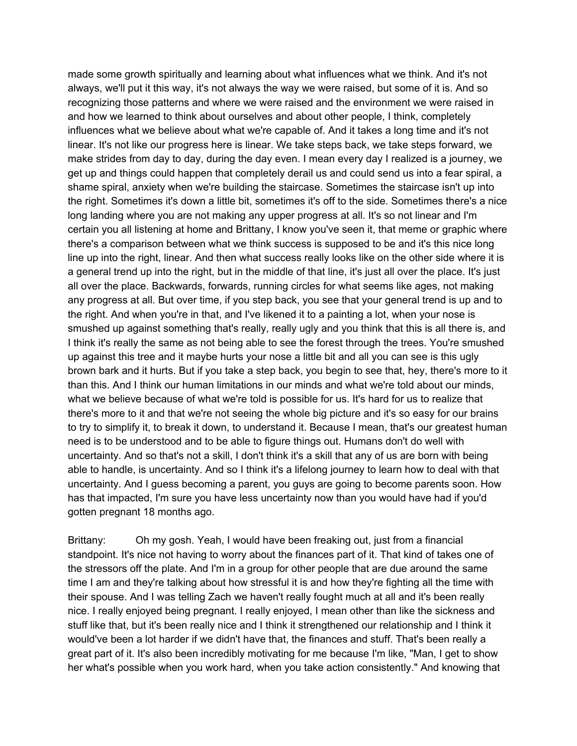made some growth spiritually and learning about what influences what we think. And it's not always, we'll put it this way, it's not always the way we were raised, but some of it is. And so recognizing those patterns and where we were raised and the environment we were raised in and how we learned to think about ourselves and about other people, I think, completely influences what we believe about what we're capable of. And it takes a long time and it's not linear. It's not like our progress here is linear. We take steps back, we take steps forward, we make strides from day to day, during the day even. I mean every day I realized is a journey, we get up and things could happen that completely derail us and could send us into a fear spiral, a shame spiral, anxiety when we're building the staircase. Sometimes the staircase isn't up into the right. Sometimes it's down a little bit, sometimes it's off to the side. Sometimes there's a nice long landing where you are not making any upper progress at all. It's so not linear and I'm certain you all listening at home and Brittany, I know you've seen it, that meme or graphic where there's a comparison between what we think success is supposed to be and it's this nice long line up into the right, linear. And then what success really looks like on the other side where it is a general trend up into the right, but in the middle of that line, it's just all over the place. It's just all over the place. Backwards, forwards, running circles for what seems like ages, not making any progress at all. But over time, if you step back, you see that your general trend is up and to the right. And when you're in that, and I've likened it to a painting a lot, when your nose is smushed up against something that's really, really ugly and you think that this is all there is, and I think it's really the same as not being able to see the forest through the trees. You're smushed up against this tree and it maybe hurts your nose a little bit and all you can see is this ugly brown bark and it hurts. But if you take a step back, you begin to see that, hey, there's more to it than this. And I think our human limitations in our minds and what we're told about our minds, what we believe because of what we're told is possible for us. It's hard for us to realize that there's more to it and that we're not seeing the whole big picture and it's so easy for our brains to try to simplify it, to break it down, to understand it. Because I mean, that's our greatest human need is to be understood and to be able to figure things out. Humans don't do well with uncertainty. And so that's not a skill, I don't think it's a skill that any of us are born with being able to handle, is uncertainty. And so I think it's a lifelong journey to learn how to deal with that uncertainty. And I guess becoming a parent, you guys are going to become parents soon. How has that impacted, I'm sure you have less uncertainty now than you would have had if you'd gotten pregnant 18 months ago.

Brittany: Oh my gosh. Yeah, I would have been freaking out, just from a financial standpoint. It's nice not having to worry about the finances part of it. That kind of takes one of the stressors off the plate. And I'm in a group for other people that are due around the same time I am and they're talking about how stressful it is and how they're fighting all the time with their spouse. And I was telling Zach we haven't really fought much at all and it's been really nice. I really enjoyed being pregnant. I really enjoyed, I mean other than like the sickness and stuff like that, but it's been really nice and I think it strengthened our relationship and I think it would've been a lot harder if we didn't have that, the finances and stuff. That's been really a great part of it. It's also been incredibly motivating for me because I'm like, "Man, I get to show her what's possible when you work hard, when you take action consistently." And knowing that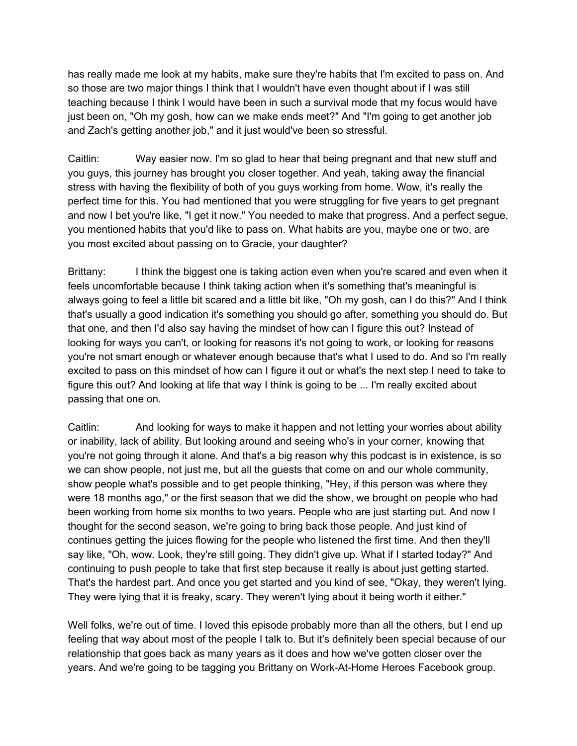has really made me look at my habits, make sure they're habits that I'm excited to pass on. And so those are two major things I think that I wouldn't have even thought about if I was still teaching because I think I would have been in such a survival mode that my focus would have just been on, "Oh my gosh, how can we make ends meet?" And "I'm going to get another job and Zach's getting another job," and it just would've been so stressful.

Caitlin: Way easier now. I'm so glad to hear that being pregnant and that new stuff and you guys, this journey has brought you closer together. And yeah, taking away the financial stress with having the flexibility of both of you guys working from home. Wow, it's really the perfect time for this. You had mentioned that you were struggling for five years to get pregnant and now I bet you're like, "I get it now." You needed to make that progress. And a perfect segue, you mentioned habits that you'd like to pass on. What habits are you, maybe one or two, are you most excited about passing on to Gracie, your daughter?

Brittany: I think the biggest one is taking action even when you're scared and even when it feels uncomfortable because I think taking action when it's something that's meaningful is always going to feel a little bit scared and a little bit like, "Oh my gosh, can I do this?" And I think that's usually a good indication it's something you should go after, something you should do. But that one, and then I'd also say having the mindset of how can I figure this out? Instead of looking for ways you can't, or looking for reasons it's not going to work, or looking for reasons you're not smart enough or whatever enough because that's what I used to do. And so I'm really excited to pass on this mindset of how can I figure it out or what's the next step I need to take to figure this out? And looking at life that way I think is going to be ... I'm really excited about passing that one on.

Caitlin: And looking for ways to make it happen and not letting your worries about ability or inability, lack of ability. But looking around and seeing who's in your corner, knowing that you're not going through it alone. And that's a big reason why this podcast is in existence, is so we can show people, not just me, but all the guests that come on and our whole community, show people what's possible and to get people thinking, "Hey, if this person was where they were 18 months ago," or the first season that we did the show, we brought on people who had been working from home six months to two years. People who are just starting out. And now I thought for the second season, we're going to bring back those people. And just kind of continues getting the juices flowing for the people who listened the first time. And then they'll say like, "Oh, wow. Look, they're still going. They didn't give up. What if I started today?" And continuing to push people to take that first step because it really is about just getting started. That's the hardest part. And once you get started and you kind of see, "Okay, they weren't lying. They were lying that it is freaky, scary. They weren't lying about it being worth it either."

Well folks, we're out of time. I loved this episode probably more than all the others, but I end up feeling that way about most of the people I talk to. But it's definitely been special because of our relationship that goes back as many years as it does and how we've gotten closer over the years. And we're going to be tagging you Brittany on Work-At-Home Heroes Facebook group.